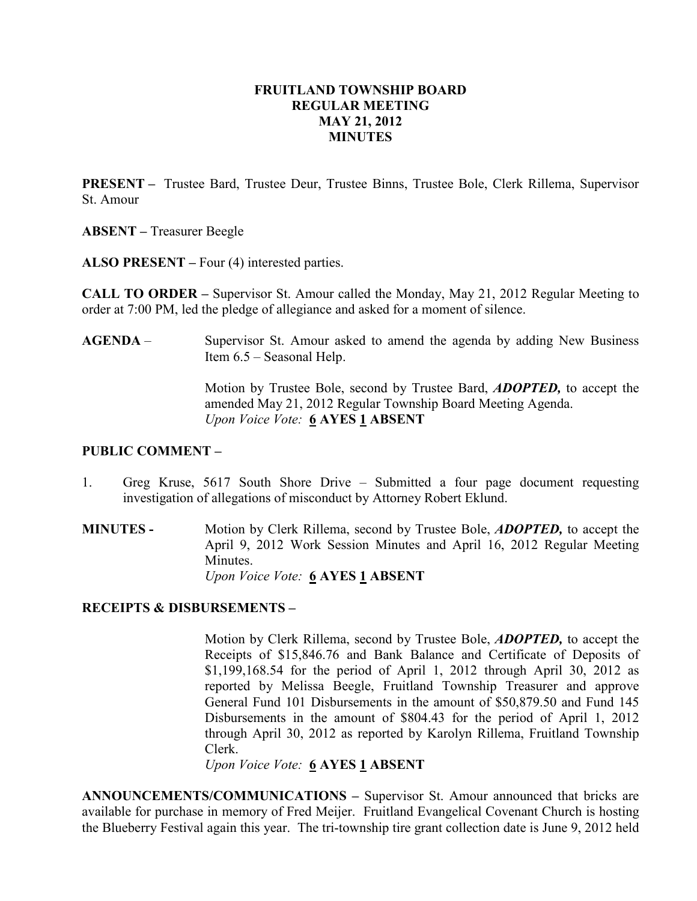## FRUITLAND TOWNSHIP BOARD REGULAR MEETING MAY 21, 2012 **MINUTES**

PRESENT – Trustee Bard, Trustee Deur, Trustee Binns, Trustee Bole, Clerk Rillema, Supervisor St. Amour

ABSENT – Treasurer Beegle

ALSO PRESENT – Four (4) interested parties.

CALL TO ORDER – Supervisor St. Amour called the Monday, May 21, 2012 Regular Meeting to order at 7:00 PM, led the pledge of allegiance and asked for a moment of silence.

AGENDA – Supervisor St. Amour asked to amend the agenda by adding New Business Item 6.5 – Seasonal Help.

> Motion by Trustee Bole, second by Trustee Bard, ADOPTED, to accept the amended May 21, 2012 Regular Township Board Meeting Agenda. Upon Voice Vote: 6 AYES 1 ABSENT

#### PUBLIC COMMENT –

- 1. Greg Kruse, 5617 South Shore Drive Submitted a four page document requesting investigation of allegations of misconduct by Attorney Robert Eklund.
- MINUTES Motion by Clerk Rillema, second by Trustee Bole, ADOPTED, to accept the April 9, 2012 Work Session Minutes and April 16, 2012 Regular Meeting Minutes. Upon Voice Vote: 6 AYES 1 ABSENT

## RECEIPTS & DISBURSEMENTS –

Motion by Clerk Rillema, second by Trustee Bole, ADOPTED, to accept the Receipts of \$15,846.76 and Bank Balance and Certificate of Deposits of \$1,199,168.54 for the period of April 1, 2012 through April 30, 2012 as reported by Melissa Beegle, Fruitland Township Treasurer and approve General Fund 101 Disbursements in the amount of \$50,879.50 and Fund 145 Disbursements in the amount of \$804.43 for the period of April 1, 2012 through April 30, 2012 as reported by Karolyn Rillema, Fruitland Township Clerk.

Upon Voice Vote: 6 AYES 1 ABSENT

ANNOUNCEMENTS/COMMUNICATIONS – Supervisor St. Amour announced that bricks are available for purchase in memory of Fred Meijer. Fruitland Evangelical Covenant Church is hosting the Blueberry Festival again this year. The tri-township tire grant collection date is June 9, 2012 held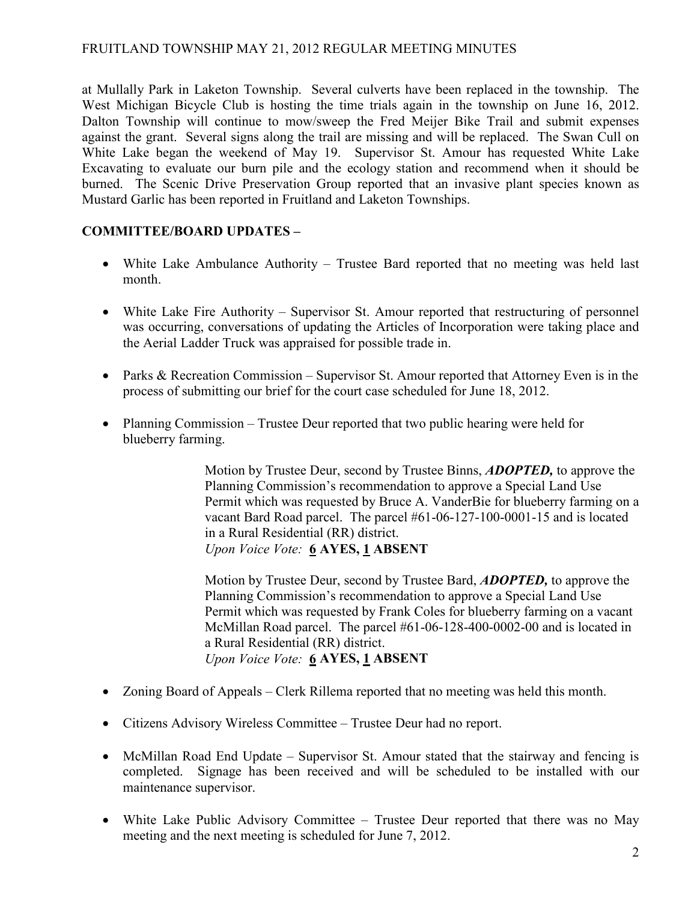# FRUITLAND TOWNSHIP MAY 21, 2012 REGULAR MEETING MINUTES

at Mullally Park in Laketon Township. Several culverts have been replaced in the township. The West Michigan Bicycle Club is hosting the time trials again in the township on June 16, 2012. Dalton Township will continue to mow/sweep the Fred Meijer Bike Trail and submit expenses against the grant. Several signs along the trail are missing and will be replaced. The Swan Cull on White Lake began the weekend of May 19. Supervisor St. Amour has requested White Lake Excavating to evaluate our burn pile and the ecology station and recommend when it should be burned. The Scenic Drive Preservation Group reported that an invasive plant species known as Mustard Garlic has been reported in Fruitland and Laketon Townships.

# COMMITTEE/BOARD UPDATES –

- White Lake Ambulance Authority Trustee Bard reported that no meeting was held last month.
- White Lake Fire Authority Supervisor St. Amour reported that restructuring of personnel was occurring, conversations of updating the Articles of Incorporation were taking place and the Aerial Ladder Truck was appraised for possible trade in.
- Parks & Recreation Commission Supervisor St. Amour reported that Attorney Even is in the process of submitting our brief for the court case scheduled for June 18, 2012.
- Planning Commission Trustee Deur reported that two public hearing were held for blueberry farming.

Motion by Trustee Deur, second by Trustee Binns, **ADOPTED**, to approve the Planning Commission's recommendation to approve a Special Land Use Permit which was requested by Bruce A. VanderBie for blueberry farming on a vacant Bard Road parcel. The parcel #61-06-127-100-0001-15 and is located in a Rural Residential (RR) district. Upon Voice Vote: 6 AYES, 1 ABSENT

Motion by Trustee Deur, second by Trustee Bard, **ADOPTED**, to approve the Planning Commission's recommendation to approve a Special Land Use Permit which was requested by Frank Coles for blueberry farming on a vacant McMillan Road parcel. The parcel #61-06-128-400-0002-00 and is located in a Rural Residential (RR) district. Upon Voice Vote: 6 AYES, 1 ABSENT

- Zoning Board of Appeals Clerk Rillema reported that no meeting was held this month.
- Citizens Advisory Wireless Committee Trustee Deur had no report.
- McMillan Road End Update Supervisor St. Amour stated that the stairway and fencing is completed. Signage has been received and will be scheduled to be installed with our maintenance supervisor.
- White Lake Public Advisory Committee Trustee Deur reported that there was no May meeting and the next meeting is scheduled for June 7, 2012.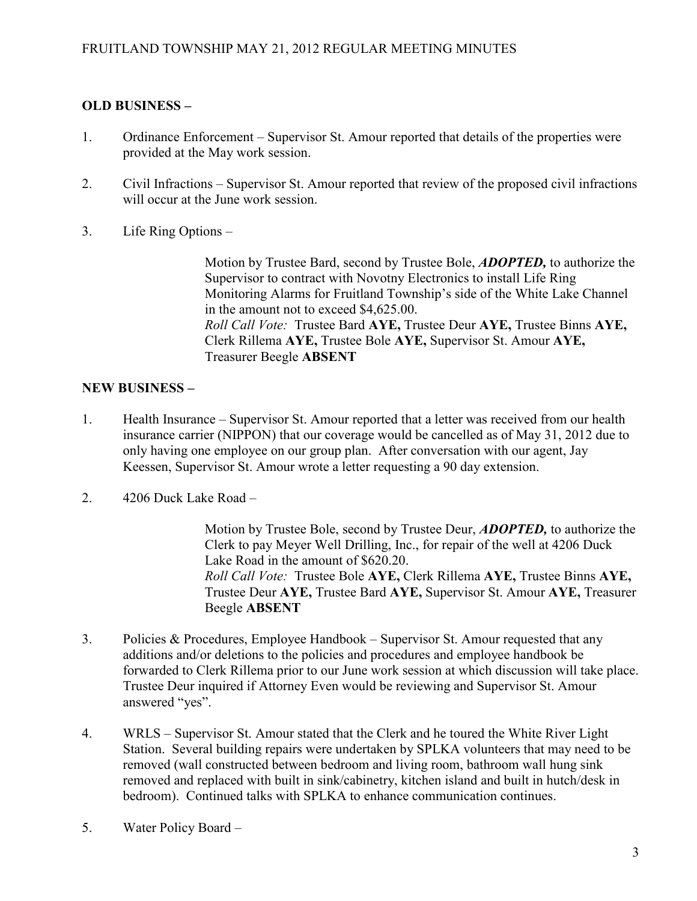# OLD BUSINESS –

- 1. Ordinance Enforcement Supervisor St. Amour reported that details of the properties were provided at the May work session.
- 2. Civil Infractions Supervisor St. Amour reported that review of the proposed civil infractions will occur at the June work session.
- 3. Life Ring Options –

Motion by Trustee Bard, second by Trustee Bole, ADOPTED, to authorize the Supervisor to contract with Novotny Electronics to install Life Ring Monitoring Alarms for Fruitland Township's side of the White Lake Channel in the amount not to exceed \$4,625.00. Roll Call Vote: Trustee Bard AYE, Trustee Deur AYE, Trustee Binns AYE, Clerk Rillema AYE, Trustee Bole AYE, Supervisor St. Amour AYE, Treasurer Beegle ABSENT

# NEW BUSINESS –

- 1. Health Insurance Supervisor St. Amour reported that a letter was received from our health insurance carrier (NIPPON) that our coverage would be cancelled as of May 31, 2012 due to only having one employee on our group plan. After conversation with our agent, Jay Keessen, Supervisor St. Amour wrote a letter requesting a 90 day extension.
- 2. 4206 Duck Lake Road –

Motion by Trustee Bole, second by Trustee Deur, **ADOPTED**, to authorize the Clerk to pay Meyer Well Drilling, Inc., for repair of the well at 4206 Duck Lake Road in the amount of \$620.20. Roll Call Vote: Trustee Bole AYE, Clerk Rillema AYE, Trustee Binns AYE, Trustee Deur AYE, Trustee Bard AYE, Supervisor St. Amour AYE, Treasurer Beegle ABSENT

- 3. Policies & Procedures, Employee Handbook Supervisor St. Amour requested that any additions and/or deletions to the policies and procedures and employee handbook be forwarded to Clerk Rillema prior to our June work session at which discussion will take place. Trustee Deur inquired if Attorney Even would be reviewing and Supervisor St. Amour answered "yes".
- 4. WRLS Supervisor St. Amour stated that the Clerk and he toured the White River Light Station. Several building repairs were undertaken by SPLKA volunteers that may need to be removed (wall constructed between bedroom and living room, bathroom wall hung sink removed and replaced with built in sink/cabinetry, kitchen island and built in hutch/desk in bedroom). Continued talks with SPLKA to enhance communication continues.
- 5. Water Policy Board –